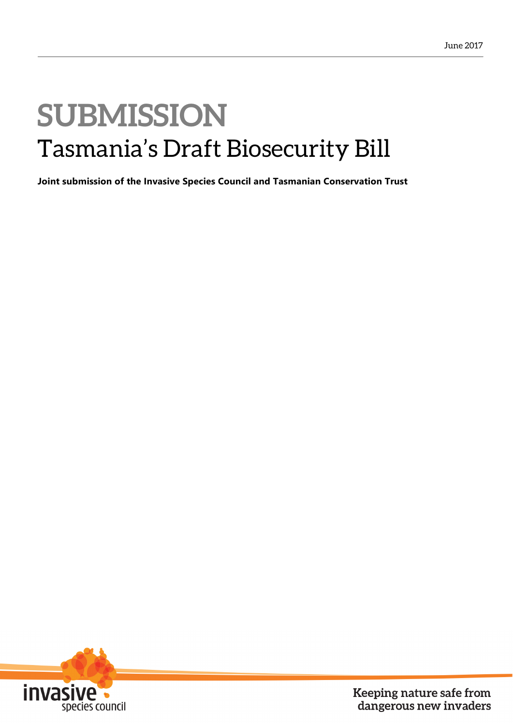### **SUBMISSION** Tasmania's Draft Biosecurity Bill

**Joint submission of the Invasive Species Council and Tasmanian Conservation Trust** 



Keeping nature safe from dangerous new invaders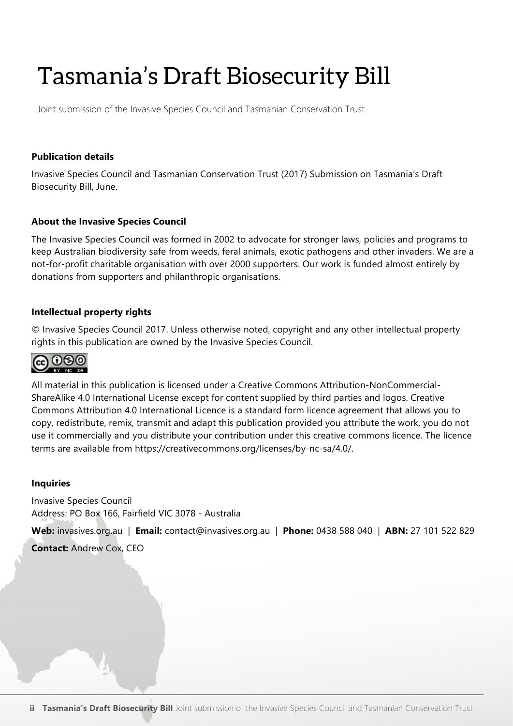### Tasmania's Draft Biosecurity Bill

Joint submission of the Invasive Species Council and Tasmanian Conservation Trust

#### **Publication details**

Invasive Species Council and Tasmanian Conservation Trust (2017) Submission on Tasmania's Draft Biosecurity Bill, June.

#### **About the Invasive Species Council**

The Invasive Species Council was formed in 2002 to advocate for stronger laws, policies and programs to keep Australian biodiversity safe from weeds, feral animals, exotic pathogens and other invaders. We are a not-for-profit charitable organisation with over 2000 supporters. Our work is funded almost entirely by donations from supporters and philanthropic organisations.

#### **Intellectual property rights**

© Invasive Species Council 2017. Unless otherwise noted, copyright and any other intellectual property rights in this publication are owned by the Invasive Species Council.



All material in this publication is licensed under a Creative Commons Attribution-NonCommercial-ShareAlike 4.0 International License except for content supplied by third parties and logos. Creative Commons Attribution 4.0 International Licence is a standard form licence agreement that allows you to copy, redistribute, remix, transmit and adapt this publication provided you attribute the work, you do not use it commercially and you distribute your contribution under this creative commons licence. The licence terms are available from https://creativecommons.org/licenses/by-nc-sa/4.0/.

#### **Inquiries**

Invasive Species Council Address: PO Box 166, Fairfield VIC 3078 - Australia

**Web:** invasives.org.au | **Email:** contact@invasives.org.au | **Phone:** 0438 588 040 | **ABN:** 27 101 522 829 **Contact:** Andrew Cox, CEO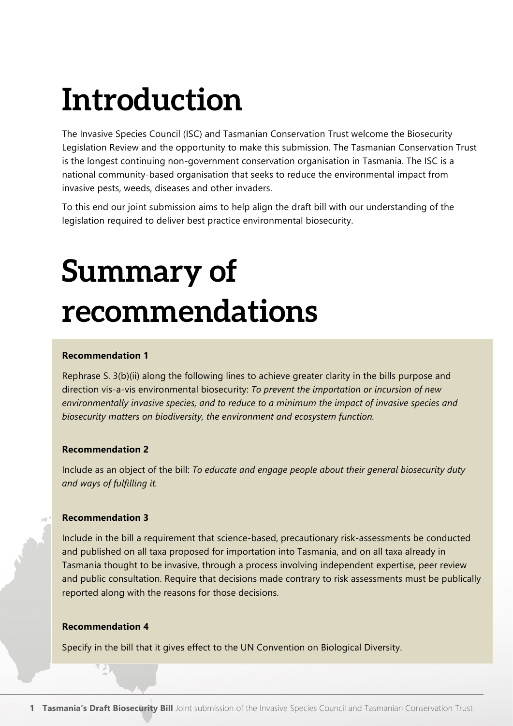### **Introduction**

The Invasive Species Council (ISC) and Tasmanian Conservation Trust welcome the Biosecurity Legislation Review and the opportunity to make this submission. The Tasmanian Conservation Trust is the longest continuing non-government conservation organisation in Tasmania. The ISC is a national community-based organisation that seeks to reduce the environmental impact from invasive pests, weeds, diseases and other invaders.

To this end our joint submission aims to help align the draft bill with our understanding of the legislation required to deliver best practice environmental biosecurity.

## **Summary of recommendations**

#### **Recommendation 1**

Rephrase S. 3(b)(ii) along the following lines to achieve greater clarity in the bills purpose and direction vis-a-vis environmental biosecurity: *To prevent the importation or incursion of new environmentally invasive species, and to reduce to a minimum the impact of invasive species and biosecurity matters on biodiversity, the environment and ecosystem function.* 

#### **Recommendation 2**

Include as an object of the bill: *To educate and engage people about their general biosecurity duty and ways of fulfilling it.*

#### **Recommendation 3**

Include in the bill a requirement that science-based, precautionary risk-assessments be conducted and published on all taxa proposed for importation into Tasmania, and on all taxa already in Tasmania thought to be invasive, through a process involving independent expertise, peer review and public consultation. Require that decisions made contrary to risk assessments must be publically reported along with the reasons for those decisions.

#### **Recommendation 4**

Specify in the bill that it gives effect to the UN Convention on Biological Diversity.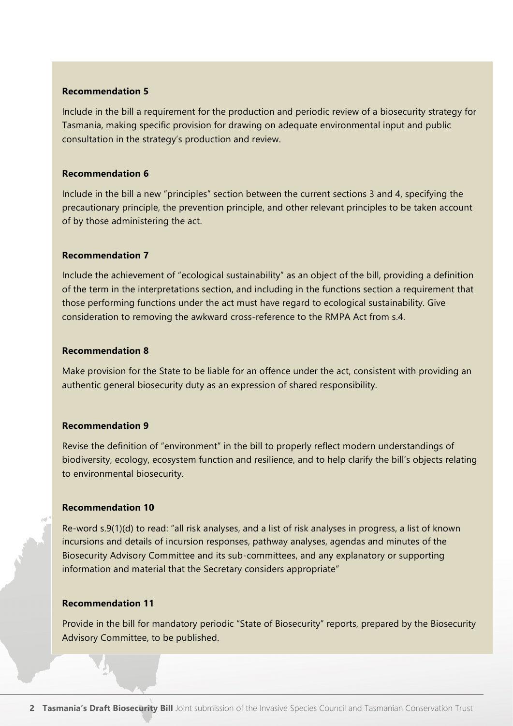Include in the bill a requirement for the production and periodic review of a biosecurity strategy for Tasmania, making specific provision for drawing on adequate environmental input and public consultation in the strategy's production and review.

#### **Recommendation 6**

Include in the bill a new "principles" section between the current sections 3 and 4, specifying the precautionary principle, the prevention principle, and other relevant principles to be taken account of by those administering the act.

#### **Recommendation 7**

Include the achievement of "ecological sustainability" as an object of the bill, providing a definition of the term in the interpretations section, and including in the functions section a requirement that those performing functions under the act must have regard to ecological sustainability. Give consideration to removing the awkward cross-reference to the RMPA Act from s.4.

#### **Recommendation 8**

Make provision for the State to be liable for an offence under the act, consistent with providing an authentic general biosecurity duty as an expression of shared responsibility.

#### **Recommendation 9**

Revise the definition of "environment" in the bill to properly reflect modern understandings of biodiversity, ecology, ecosystem function and resilience, and to help clarify the bill's objects relating to environmental biosecurity.

#### **Recommendation 10**

Re-word s.9(1)(d) to read: "all risk analyses, and a list of risk analyses in progress, a list of known incursions and details of incursion responses, pathway analyses, agendas and minutes of the Biosecurity Advisory Committee and its sub-committees, and any explanatory or supporting information and material that the Secretary considers appropriate"

#### **Recommendation 11**

Provide in the bill for mandatory periodic "State of Biosecurity" reports, prepared by the Biosecurity Advisory Committee, to be published.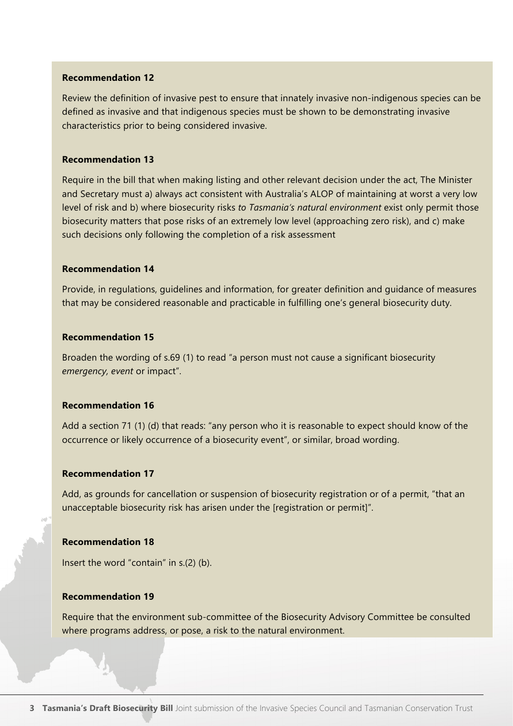Review the definition of invasive pest to ensure that innately invasive non-indigenous species can be defined as invasive and that indigenous species must be shown to be demonstrating invasive characteristics prior to being considered invasive.

#### **Recommendation 13**

Require in the bill that when making listing and other relevant decision under the act, The Minister and Secretary must a) always act consistent with Australia's ALOP of maintaining at worst a very low level of risk and b) where biosecurity risks *to Tasmania's natural environment* exist only permit those biosecurity matters that pose risks of an extremely low level (approaching zero risk), and c) make such decisions only following the completion of a risk assessment

#### **Recommendation 14**

Provide, in regulations, guidelines and information, for greater definition and guidance of measures that may be considered reasonable and practicable in fulfilling one's general biosecurity duty.

#### **Recommendation 15**

Broaden the wording of s.69 (1) to read "a person must not cause a significant biosecurity *emergency, event* or impact".

#### **Recommendation 16**

Add a section 71 (1) (d) that reads: "any person who it is reasonable to expect should know of the occurrence or likely occurrence of a biosecurity event", or similar, broad wording.

#### **Recommendation 17**

Add, as grounds for cancellation or suspension of biosecurity registration or of a permit, "that an unacceptable biosecurity risk has arisen under the [registration or permit]".

#### **Recommendation 18**

Insert the word "contain" in s.(2) (b).

#### **Recommendation 19**

Require that the environment sub-committee of the Biosecurity Advisory Committee be consulted where programs address, or pose, a risk to the natural environment.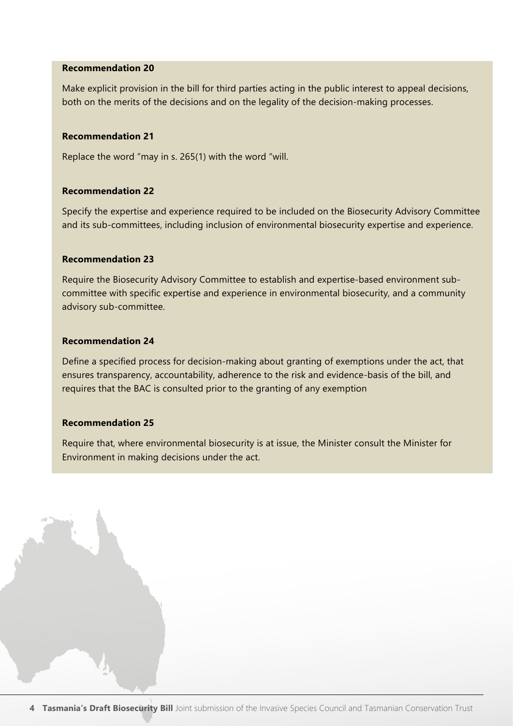Make explicit provision in the bill for third parties acting in the public interest to appeal decisions, both on the merits of the decisions and on the legality of the decision-making processes.

#### **Recommendation 21**

Replace the word "may in s. 265(1) with the word "will.

#### **Recommendation 22**

Specify the expertise and experience required to be included on the Biosecurity Advisory Committee and its sub-committees, including inclusion of environmental biosecurity expertise and experience.

#### **Recommendation 23**

Require the Biosecurity Advisory Committee to establish and expertise-based environment subcommittee with specific expertise and experience in environmental biosecurity, and a community advisory sub-committee.

#### **Recommendation 24**

Define a specified process for decision-making about granting of exemptions under the act, that ensures transparency, accountability, adherence to the risk and evidence-basis of the bill, and requires that the BAC is consulted prior to the granting of any exemption

#### **Recommendation 25**

Require that, where environmental biosecurity is at issue, the Minister consult the Minister for Environment in making decisions under the act.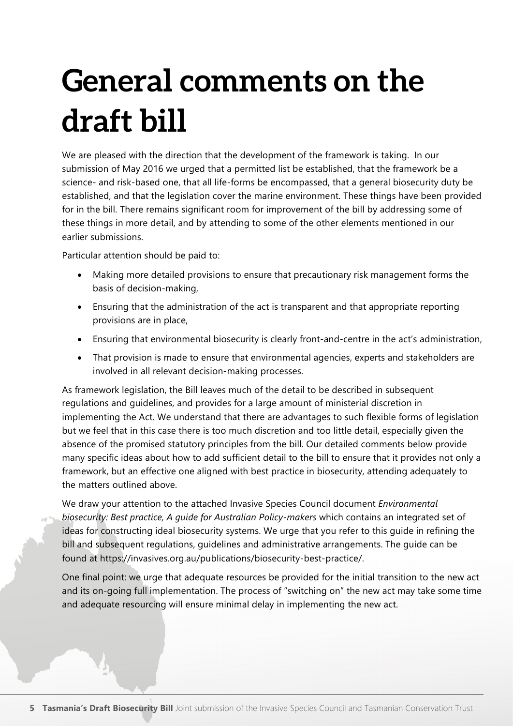# **General comments on the draft bill**

We are pleased with the direction that the development of the framework is taking. In our submission of May 2016 we urged that a permitted list be established, that the framework be a science- and risk-based one, that all life-forms be encompassed, that a general biosecurity duty be established, and that the legislation cover the marine environment. These things have been provided for in the bill. There remains significant room for improvement of the bill by addressing some of these things in more detail, and by attending to some of the other elements mentioned in our earlier submissions.

Particular attention should be paid to:

- Making more detailed provisions to ensure that precautionary risk management forms the basis of decision-making,
- Ensuring that the administration of the act is transparent and that appropriate reporting provisions are in place,
- Ensuring that environmental biosecurity is clearly front-and-centre in the act's administration,
- That provision is made to ensure that environmental agencies, experts and stakeholders are involved in all relevant decision-making processes.

As framework legislation, the Bill leaves much of the detail to be described in subsequent regulations and guidelines, and provides for a large amount of ministerial discretion in implementing the Act. We understand that there are advantages to such flexible forms of legislation but we feel that in this case there is too much discretion and too little detail, especially given the absence of the promised statutory principles from the bill. Our detailed comments below provide many specific ideas about how to add sufficient detail to the bill to ensure that it provides not only a framework, but an effective one aligned with best practice in biosecurity, attending adequately to the matters outlined above.

We draw your attention to the attached Invasive Species Council document *Environmental biosecurity: Best practice, A guide for Australian Policy-makers* which contains an integrated set of ideas for constructing ideal biosecurity systems. We urge that you refer to this guide in refining the bill and subsequent regulations, guidelines and administrative arrangements. The guide can be found at https://invasives.org.au/publications/biosecurity-best-practice/.

One final point: we urge that adequate resources be provided for the initial transition to the new act and its on-going full implementation. The process of "switching on" the new act may take some time and adequate resourcing will ensure minimal delay in implementing the new act.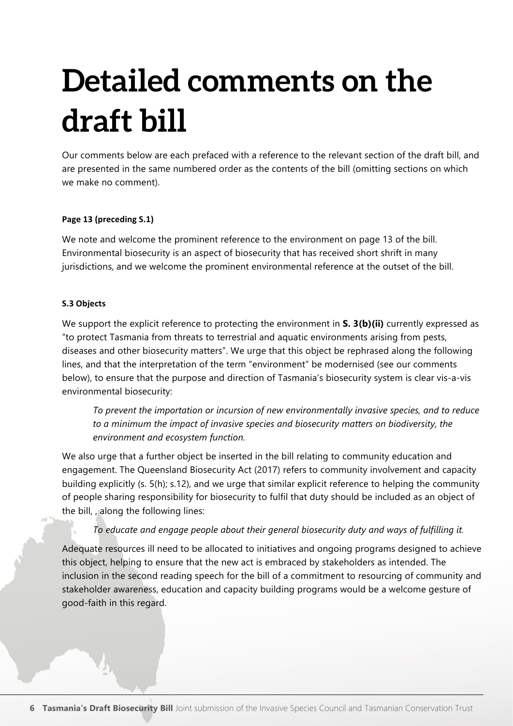# **Detailed comments on the draft bill**

Our comments below are each prefaced with a reference to the relevant section of the draft bill, and are presented in the same numbered order as the contents of the bill (omitting sections on which we make no comment).

#### Page 13 (preceding S.1)

We note and welcome the prominent reference to the environment on page 13 of the bill. Environmental biosecurity is an aspect of biosecurity that has received short shrift in many jurisdictions, and we welcome the prominent environmental reference at the outset of the bill.

#### **S.3 Objects**

We support the explicit reference to protecting the environment in **S. 3(b)(ii)** currently expressed as "to protect Tasmania from threats to terrestrial and aquatic environments arising from pests, diseases and other biosecurity matters". We urge that this object be rephrased along the following lines, and that the interpretation of the term "environment" be modernised (see our comments below), to ensure that the purpose and direction of Tasmania's biosecurity system is clear vis-a-vis environmental biosecurity:

*To prevent the importation or incursion of new environmentally invasive species, and to reduce to a minimum the impact of invasive species and biosecurity matters on biodiversity, the environment and ecosystem function.* 

We also urge that a further object be inserted in the bill relating to community education and engagement. The Queensland Biosecurity Act (2017) refers to community involvement and capacity building explicitly (s. 5(h); s.12), and we urge that similar explicit reference to helping the community of people sharing responsibility for biosecurity to fulfil that duty should be included as an object of the bill, , along the following lines:

#### *To educate and engage people about their general biosecurity duty and ways of fulfilling it.*

Adequate resources ill need to be allocated to initiatives and ongoing programs designed to achieve this object, helping to ensure that the new act is embraced by stakeholders as intended. The inclusion in the second reading speech for the bill of a commitment to resourcing of community and stakeholder awareness, education and capacity building programs would be a welcome gesture of good-faith in this regard.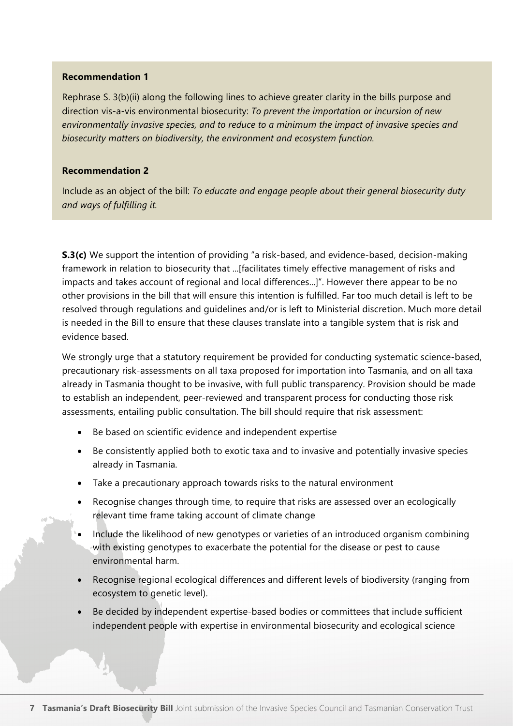Rephrase S. 3(b)(ii) along the following lines to achieve greater clarity in the bills purpose and direction vis-a-vis environmental biosecurity: *To prevent the importation or incursion of new environmentally invasive species, and to reduce to a minimum the impact of invasive species and biosecurity matters on biodiversity, the environment and ecosystem function.* 

#### **Recommendation 2**

Include as an object of the bill: *To educate and engage people about their general biosecurity duty and ways of fulfilling it.*

**S.3(c)** We support the intention of providing "a risk-based, and evidence-based, decision-making framework in relation to biosecurity that ...[facilitates timely effective management of risks and impacts and takes account of regional and local differences...]". However there appear to be no other provisions in the bill that will ensure this intention is fulfilled. Far too much detail is left to be resolved through regulations and guidelines and/or is left to Ministerial discretion. Much more detail is needed in the Bill to ensure that these clauses translate into a tangible system that is risk and evidence based.

We strongly urge that a statutory requirement be provided for conducting systematic science-based, precautionary risk-assessments on all taxa proposed for importation into Tasmania, and on all taxa already in Tasmania thought to be invasive, with full public transparency. Provision should be made to establish an independent, peer-reviewed and transparent process for conducting those risk assessments, entailing public consultation. The bill should require that risk assessment:

- Be based on scientific evidence and independent expertise
- Be consistently applied both to exotic taxa and to invasive and potentially invasive species already in Tasmania.
- Take a precautionary approach towards risks to the natural environment
- Recognise changes through time, to require that risks are assessed over an ecologically relevant time frame taking account of climate change
- Include the likelihood of new genotypes or varieties of an introduced organism combining with existing genotypes to exacerbate the potential for the disease or pest to cause environmental harm.
- Recognise regional ecological differences and different levels of biodiversity (ranging from ecosystem to genetic level).
- Be decided by independent expertise-based bodies or committees that include sufficient independent people with expertise in environmental biosecurity and ecological science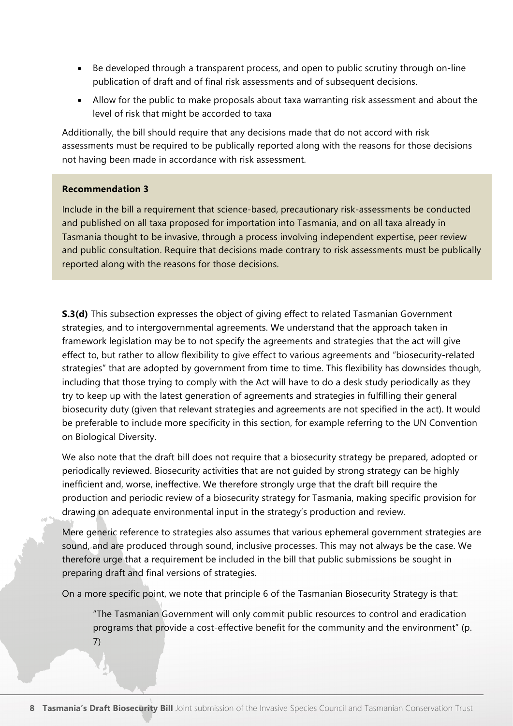- Be developed through a transparent process, and open to public scrutiny through on-line publication of draft and of final risk assessments and of subsequent decisions.
- Allow for the public to make proposals about taxa warranting risk assessment and about the level of risk that might be accorded to taxa

Additionally, the bill should require that any decisions made that do not accord with risk assessments must be required to be publically reported along with the reasons for those decisions not having been made in accordance with risk assessment.

#### **Recommendation 3**

Include in the bill a requirement that science-based, precautionary risk-assessments be conducted and published on all taxa proposed for importation into Tasmania, and on all taxa already in Tasmania thought to be invasive, through a process involving independent expertise, peer review and public consultation. Require that decisions made contrary to risk assessments must be publically reported along with the reasons for those decisions.

**S.3(d)** This subsection expresses the object of giving effect to related Tasmanian Government strategies, and to intergovernmental agreements. We understand that the approach taken in framework legislation may be to not specify the agreements and strategies that the act will give effect to, but rather to allow flexibility to give effect to various agreements and "biosecurity-related strategies" that are adopted by government from time to time. This flexibility has downsides though, including that those trying to comply with the Act will have to do a desk study periodically as they try to keep up with the latest generation of agreements and strategies in fulfilling their general biosecurity duty (given that relevant strategies and agreements are not specified in the act). It would be preferable to include more specificity in this section, for example referring to the UN Convention on Biological Diversity.

We also note that the draft bill does not require that a biosecurity strategy be prepared, adopted or periodically reviewed. Biosecurity activities that are not guided by strong strategy can be highly inefficient and, worse, ineffective. We therefore strongly urge that the draft bill require the production and periodic review of a biosecurity strategy for Tasmania, making specific provision for drawing on adequate environmental input in the strategy's production and review.

Mere generic reference to strategies also assumes that various ephemeral government strategies are sound, and are produced through sound, inclusive processes. This may not always be the case. We therefore urge that a requirement be included in the bill that public submissions be sought in preparing draft and final versions of strategies.

On a more specific point, we note that principle 6 of the Tasmanian Biosecurity Strategy is that:

"The Tasmanian Government will only commit public resources to control and eradication programs that provide a cost-effective benefit for the community and the environment" (p. 7)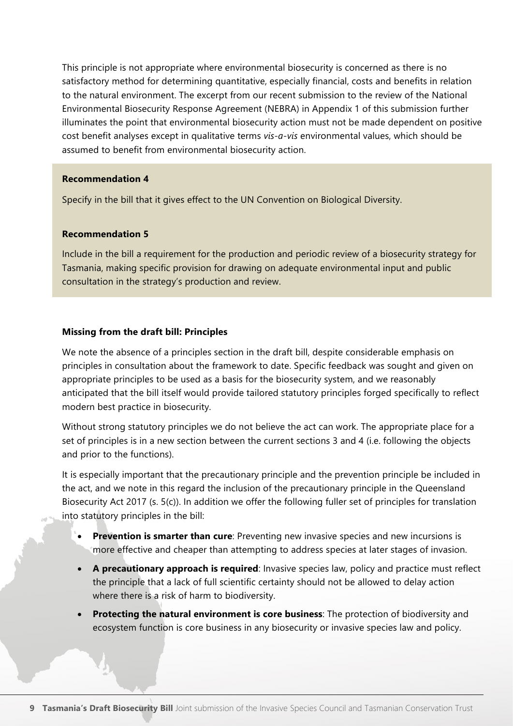This principle is not appropriate where environmental biosecurity is concerned as there is no satisfactory method for determining quantitative, especially financial, costs and benefits in relation to the natural environment. The excerpt from our recent submission to the review of the National Environmental Biosecurity Response Agreement (NEBRA) in Appendix 1 of this submission further illuminates the point that environmental biosecurity action must not be made dependent on positive cost benefit analyses except in qualitative terms *vis-a-vis* environmental values, which should be assumed to benefit from environmental biosecurity action.

#### **Recommendation 4**

Specify in the bill that it gives effect to the UN Convention on Biological Diversity.

#### **Recommendation 5**

Include in the bill a requirement for the production and periodic review of a biosecurity strategy for Tasmania, making specific provision for drawing on adequate environmental input and public consultation in the strategy's production and review.

#### **Missing from the draft bill: Principles**

We note the absence of a principles section in the draft bill, despite considerable emphasis on principles in consultation about the framework to date. Specific feedback was sought and given on appropriate principles to be used as a basis for the biosecurity system, and we reasonably anticipated that the bill itself would provide tailored statutory principles forged specifically to reflect modern best practice in biosecurity.

Without strong statutory principles we do not believe the act can work. The appropriate place for a set of principles is in a new section between the current sections 3 and 4 (i.e. following the objects and prior to the functions).

It is especially important that the precautionary principle and the prevention principle be included in the act, and we note in this regard the inclusion of the precautionary principle in the Queensland Biosecurity Act 2017 (s. 5(c)). In addition we offer the following fuller set of principles for translation into statutory principles in the bill:

- **Prevention is smarter than cure**: Preventing new invasive species and new incursions is more effective and cheaper than attempting to address species at later stages of invasion.
- **A precautionary approach is required**: Invasive species law, policy and practice must reflect the principle that a lack of full scientific certainty should not be allowed to delay action where there is a risk of harm to biodiversity.
- **Protecting the natural environment is core business**: The protection of biodiversity and ecosystem function is core business in any biosecurity or invasive species law and policy.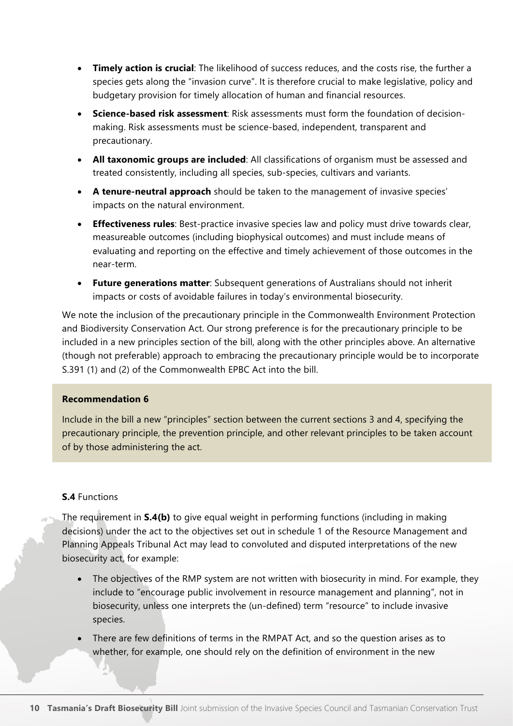- **Timely action is crucial**: The likelihood of success reduces, and the costs rise, the further a species gets along the "invasion curve". It is therefore crucial to make legislative, policy and budgetary provision for timely allocation of human and financial resources.
- **Science-based risk assessment**: Risk assessments must form the foundation of decisionmaking. Risk assessments must be science-based, independent, transparent and precautionary.
- **All taxonomic groups are included**: All classifications of organism must be assessed and treated consistently, including all species, sub-species, cultivars and variants.
- **A tenure-neutral approach** should be taken to the management of invasive species' impacts on the natural environment.
- **Effectiveness rules**: Best-practice invasive species law and policy must drive towards clear, measureable outcomes (including biophysical outcomes) and must include means of evaluating and reporting on the effective and timely achievement of those outcomes in the near-term.
- **Future generations matter**: Subsequent generations of Australians should not inherit impacts or costs of avoidable failures in today's environmental biosecurity.

We note the inclusion of the precautionary principle in the Commonwealth Environment Protection and Biodiversity Conservation Act. Our strong preference is for the precautionary principle to be included in a new principles section of the bill, along with the other principles above. An alternative (though not preferable) approach to embracing the precautionary principle would be to incorporate S.391 (1) and (2) of the Commonwealth EPBC Act into the bill.

#### **Recommendation 6**

Include in the bill a new "principles" section between the current sections 3 and 4, specifying the precautionary principle, the prevention principle, and other relevant principles to be taken account of by those administering the act.

#### **S.4** Functions

The requirement in **S.4(b)** to give equal weight in performing functions (including in making decisions) under the act to the objectives set out in schedule 1 of the Resource Management and Planning Appeals Tribunal Act may lead to convoluted and disputed interpretations of the new biosecurity act, for example:

- The objectives of the RMP system are not written with biosecurity in mind. For example, they include to "encourage public involvement in resource management and planning", not in biosecurity, unless one interprets the (un-defined) term "resource" to include invasive species.
- There are few definitions of terms in the RMPAT Act, and so the question arises as to whether, for example, one should rely on the definition of environment in the new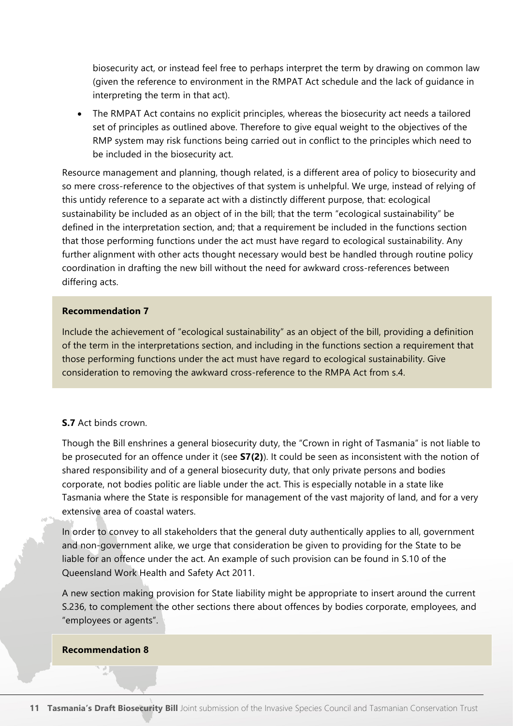biosecurity act, or instead feel free to perhaps interpret the term by drawing on common law (given the reference to environment in the RMPAT Act schedule and the lack of guidance in interpreting the term in that act).

• The RMPAT Act contains no explicit principles, whereas the biosecurity act needs a tailored set of principles as outlined above. Therefore to give equal weight to the objectives of the RMP system may risk functions being carried out in conflict to the principles which need to be included in the biosecurity act.

Resource management and planning, though related, is a different area of policy to biosecurity and so mere cross-reference to the objectives of that system is unhelpful. We urge, instead of relying of this untidy reference to a separate act with a distinctly different purpose, that: ecological sustainability be included as an object of in the bill; that the term "ecological sustainability" be defined in the interpretation section, and; that a requirement be included in the functions section that those performing functions under the act must have regard to ecological sustainability. Any further alignment with other acts thought necessary would best be handled through routine policy coordination in drafting the new bill without the need for awkward cross-references between differing acts.

#### **Recommendation 7**

Include the achievement of "ecological sustainability" as an object of the bill, providing a definition of the term in the interpretations section, and including in the functions section a requirement that those performing functions under the act must have regard to ecological sustainability. Give consideration to removing the awkward cross-reference to the RMPA Act from s.4.

#### **S.7** Act binds crown.

Though the Bill enshrines a general biosecurity duty, the "Crown in right of Tasmania" is not liable to be prosecuted for an offence under it (see **S7(2)**). It could be seen as inconsistent with the notion of shared responsibility and of a general biosecurity duty, that only private persons and bodies corporate, not bodies politic are liable under the act. This is especially notable in a state like Tasmania where the State is responsible for management of the vast majority of land, and for a very extensive area of coastal waters.

In order to convey to all stakeholders that the general duty authentically applies to all, government and non-government alike, we urge that consideration be given to providing for the State to be liable for an offence under the act. An example of such provision can be found in S.10 of the Queensland Work Health and Safety Act 2011.

A new section making provision for State liability might be appropriate to insert around the current S.236, to complement the other sections there about offences by bodies corporate, employees, and "employees or agents".

#### **Recommendation 8**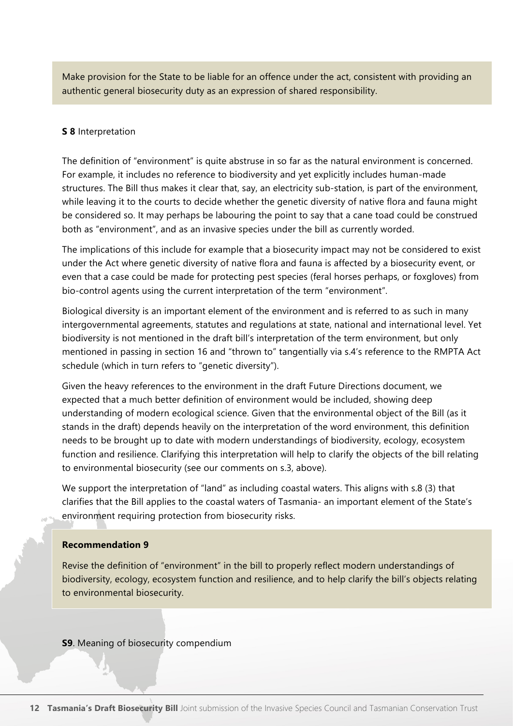Make provision for the State to be liable for an offence under the act, consistent with providing an authentic general biosecurity duty as an expression of shared responsibility.

#### **S 8** Interpretation

The definition of "environment" is quite abstruse in so far as the natural environment is concerned. For example, it includes no reference to biodiversity and yet explicitly includes human-made structures. The Bill thus makes it clear that, say, an electricity sub-station, is part of the environment, while leaving it to the courts to decide whether the genetic diversity of native flora and fauna might be considered so. It may perhaps be labouring the point to say that a cane toad could be construed both as "environment", and as an invasive species under the bill as currently worded.

The implications of this include for example that a biosecurity impact may not be considered to exist under the Act where genetic diversity of native flora and fauna is affected by a biosecurity event, or even that a case could be made for protecting pest species (feral horses perhaps, or foxgloves) from bio-control agents using the current interpretation of the term "environment".

Biological diversity is an important element of the environment and is referred to as such in many intergovernmental agreements, statutes and regulations at state, national and international level. Yet biodiversity is not mentioned in the draft bill's interpretation of the term environment, but only mentioned in passing in section 16 and "thrown to" tangentially via s.4's reference to the RMPTA Act schedule (which in turn refers to "genetic diversity").

Given the heavy references to the environment in the draft Future Directions document, we expected that a much better definition of environment would be included, showing deep understanding of modern ecological science. Given that the environmental object of the Bill (as it stands in the draft) depends heavily on the interpretation of the word environment, this definition needs to be brought up to date with modern understandings of biodiversity, ecology, ecosystem function and resilience. Clarifying this interpretation will help to clarify the objects of the bill relating to environmental biosecurity (see our comments on s.3, above).

We support the interpretation of "land" as including coastal waters. This aligns with s.8 (3) that clarifies that the Bill applies to the coastal waters of Tasmania- an important element of the State's environment requiring protection from biosecurity risks.

#### **Recommendation 9**

Revise the definition of "environment" in the bill to properly reflect modern understandings of biodiversity, ecology, ecosystem function and resilience, and to help clarify the bill's objects relating to environmental biosecurity.

**S9**. Meaning of biosecurity compendium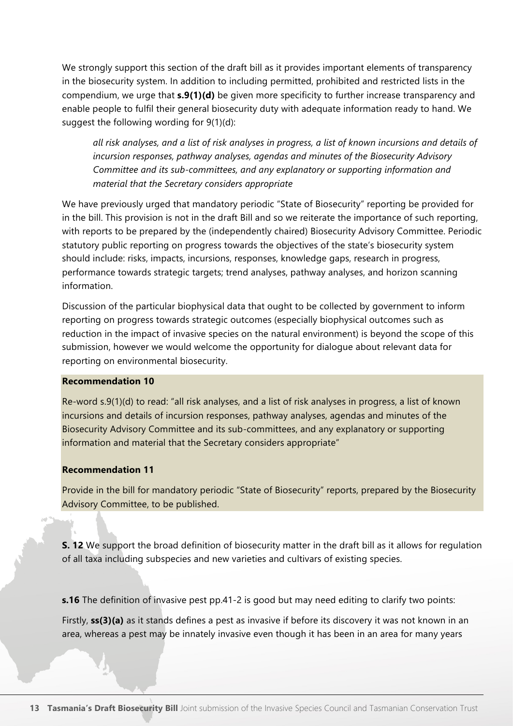We strongly support this section of the draft bill as it provides important elements of transparency in the biosecurity system. In addition to including permitted, prohibited and restricted lists in the compendium, we urge that **s.9(1)(d)** be given more specificity to further increase transparency and enable people to fulfil their general biosecurity duty with adequate information ready to hand. We suggest the following wording for 9(1)(d):

*all risk analyses, and a list of risk analyses in progress, a list of known incursions and details of incursion responses, pathway analyses, agendas and minutes of the Biosecurity Advisory Committee and its sub-committees, and any explanatory or supporting information and material that the Secretary considers appropriate*

We have previously urged that mandatory periodic "State of Biosecurity" reporting be provided for in the bill. This provision is not in the draft Bill and so we reiterate the importance of such reporting, with reports to be prepared by the (independently chaired) Biosecurity Advisory Committee. Periodic statutory public reporting on progress towards the objectives of the state's biosecurity system should include: risks, impacts, incursions, responses, knowledge gaps, research in progress, performance towards strategic targets; trend analyses, pathway analyses, and horizon scanning information.

Discussion of the particular biophysical data that ought to be collected by government to inform reporting on progress towards strategic outcomes (especially biophysical outcomes such as reduction in the impact of invasive species on the natural environment) is beyond the scope of this submission, however we would welcome the opportunity for dialogue about relevant data for reporting on environmental biosecurity.

#### **Recommendation 10**

Re-word s.9(1)(d) to read: "all risk analyses, and a list of risk analyses in progress, a list of known incursions and details of incursion responses, pathway analyses, agendas and minutes of the Biosecurity Advisory Committee and its sub-committees, and any explanatory or supporting information and material that the Secretary considers appropriate"

#### **Recommendation 11**

Provide in the bill for mandatory periodic "State of Biosecurity" reports, prepared by the Biosecurity Advisory Committee, to be published.

**S. 12** We support the broad definition of biosecurity matter in the draft bill as it allows for regulation of all taxa including subspecies and new varieties and cultivars of existing species.

**s.16** The definition of invasive pest pp.41-2 is good but may need editing to clarify two points:

Firstly, **ss(3)(a)** as it stands defines a pest as invasive if before its discovery it was not known in an area, whereas a pest may be innately invasive even though it has been in an area for many years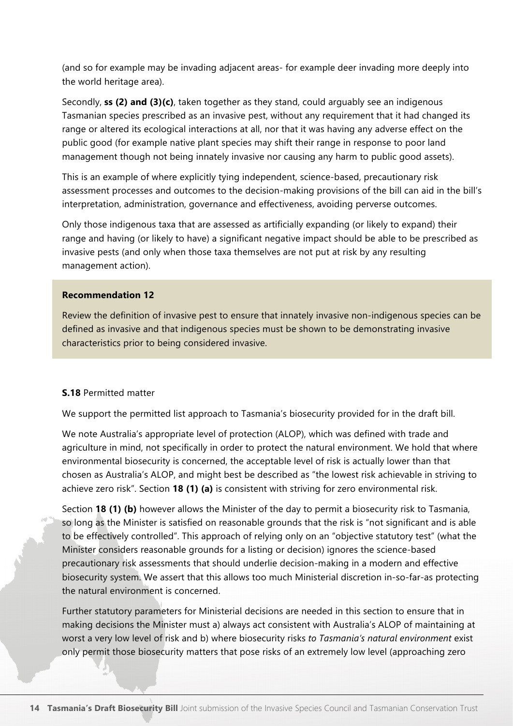(and so for example may be invading adjacent areas- for example deer invading more deeply into the world heritage area).

Secondly, **ss (2) and (3)(c)**, taken together as they stand, could arguably see an indigenous Tasmanian species prescribed as an invasive pest, without any requirement that it had changed its range or altered its ecological interactions at all, nor that it was having any adverse effect on the public good (for example native plant species may shift their range in response to poor land management though not being innately invasive nor causing any harm to public good assets).

This is an example of where explicitly tying independent, science-based, precautionary risk assessment processes and outcomes to the decision-making provisions of the bill can aid in the bill's interpretation, administration, governance and effectiveness, avoiding perverse outcomes.

Only those indigenous taxa that are assessed as artificially expanding (or likely to expand) their range and having (or likely to have) a significant negative impact should be able to be prescribed as invasive pests (and only when those taxa themselves are not put at risk by any resulting management action).

#### **Recommendation 12**

Review the definition of invasive pest to ensure that innately invasive non-indigenous species can be defined as invasive and that indigenous species must be shown to be demonstrating invasive characteristics prior to being considered invasive.

#### **S.18** Permitted matter

We support the permitted list approach to Tasmania's biosecurity provided for in the draft bill.

We note Australia's appropriate level of protection (ALOP), which was defined with trade and agriculture in mind, not specifically in order to protect the natural environment. We hold that where environmental biosecurity is concerned, the acceptable level of risk is actually lower than that chosen as Australia's ALOP, and might best be described as "the lowest risk achievable in striving to achieve zero risk". Section **18 (1) (a)** is consistent with striving for zero environmental risk.

Section **18 (1) (b)** however allows the Minister of the day to permit a biosecurity risk to Tasmania, so long as the Minister is satisfied on reasonable grounds that the risk is "not significant and is able to be effectively controlled". This approach of relying only on an "objective statutory test" (what the Minister considers reasonable grounds for a listing or decision) ignores the science-based precautionary risk assessments that should underlie decision-making in a modern and effective biosecurity system. We assert that this allows too much Ministerial discretion in-so-far-as protecting the natural environment is concerned.

Further statutory parameters for Ministerial decisions are needed in this section to ensure that in making decisions the Minister must a) always act consistent with Australia's ALOP of maintaining at worst a very low level of risk and b) where biosecurity risks *to Tasmania's natural environment* exist only permit those biosecurity matters that pose risks of an extremely low level (approaching zero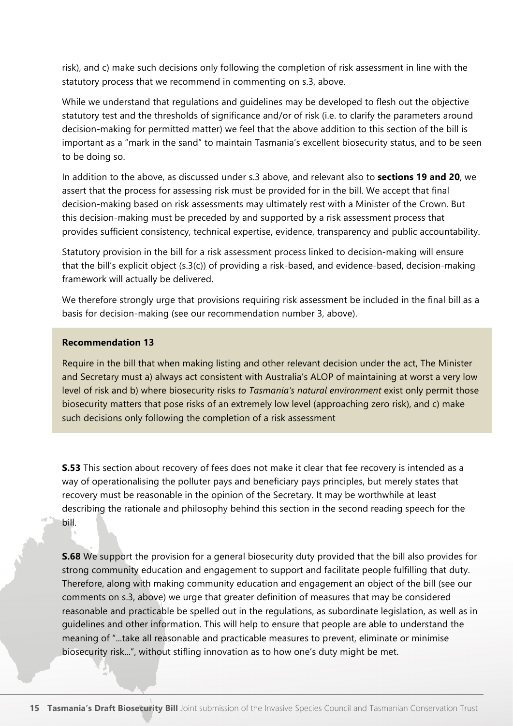risk), and c) make such decisions only following the completion of risk assessment in line with the statutory process that we recommend in commenting on s.3, above.

While we understand that regulations and guidelines may be developed to flesh out the objective statutory test and the thresholds of significance and/or of risk (i.e. to clarify the parameters around decision-making for permitted matter) we feel that the above addition to this section of the bill is important as a "mark in the sand" to maintain Tasmania's excellent biosecurity status, and to be seen to be doing so.

In addition to the above, as discussed under s.3 above, and relevant also to **sections 19 and 20**, we assert that the process for assessing risk must be provided for in the bill. We accept that final decision-making based on risk assessments may ultimately rest with a Minister of the Crown. But this decision-making must be preceded by and supported by a risk assessment process that provides sufficient consistency, technical expertise, evidence, transparency and public accountability.

Statutory provision in the bill for a risk assessment process linked to decision-making will ensure that the bill's explicit object (s.3(c)) of providing a risk-based, and evidence-based, decision-making framework will actually be delivered.

We therefore strongly urge that provisions requiring risk assessment be included in the final bill as a basis for decision-making (see our recommendation number 3, above).

#### **Recommendation 13**

Require in the bill that when making listing and other relevant decision under the act, The Minister and Secretary must a) always act consistent with Australia's ALOP of maintaining at worst a very low level of risk and b) where biosecurity risks *to Tasmania's natural environment* exist only permit those biosecurity matters that pose risks of an extremely low level (approaching zero risk), and c) make such decisions only following the completion of a risk assessment

**S.53** This section about recovery of fees does not make it clear that fee recovery is intended as a way of operationalising the polluter pays and beneficiary pays principles, but merely states that recovery must be reasonable in the opinion of the Secretary. It may be worthwhile at least describing the rationale and philosophy behind this section in the second reading speech for the bill.

**S.68** We support the provision for a general biosecurity duty provided that the bill also provides for strong community education and engagement to support and facilitate people fulfilling that duty. Therefore, along with making community education and engagement an object of the bill (see our comments on s.3, above) we urge that greater definition of measures that may be considered reasonable and practicable be spelled out in the regulations, as subordinate legislation, as well as in guidelines and other information. This will help to ensure that people are able to understand the meaning of "...take all reasonable and practicable measures to prevent, eliminate or minimise biosecurity risk...", without stifling innovation as to how one's duty might be met.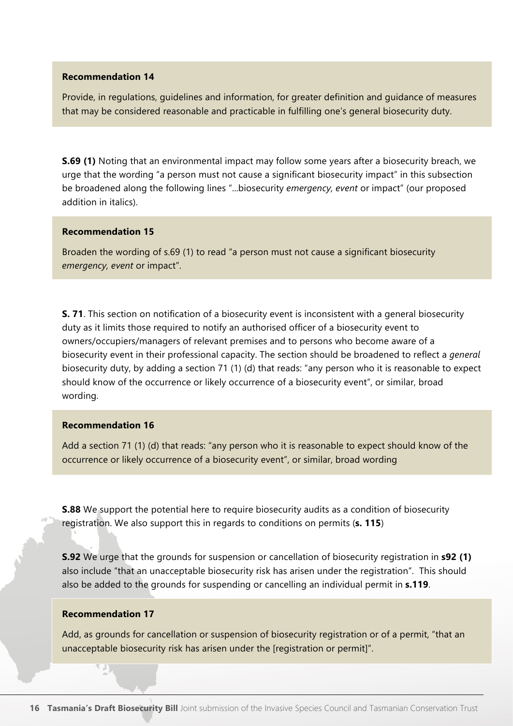Provide, in regulations, guidelines and information, for greater definition and guidance of measures that may be considered reasonable and practicable in fulfilling one's general biosecurity duty.

**S.69 (1)** Noting that an environmental impact may follow some years after a biosecurity breach, we urge that the wording "a person must not cause a significant biosecurity impact" in this subsection be broadened along the following lines "...biosecurity *emergency, event* or impact" (our proposed addition in italics).

#### **Recommendation 15**

Broaden the wording of s.69 (1) to read "a person must not cause a significant biosecurity *emergency, event* or impact".

**S. 71**. This section on notification of a biosecurity event is inconsistent with a general biosecurity duty as it limits those required to notify an authorised officer of a biosecurity event to owners/occupiers/managers of relevant premises and to persons who become aware of a biosecurity event in their professional capacity. The section should be broadened to reflect a *general* biosecurity duty, by adding a section 71 (1) (d) that reads: "any person who it is reasonable to expect should know of the occurrence or likely occurrence of a biosecurity event", or similar, broad wording.

#### **Recommendation 16**

Add a section 71 (1) (d) that reads: "any person who it is reasonable to expect should know of the occurrence or likely occurrence of a biosecurity event", or similar, broad wording

**S.88** We support the potential here to require biosecurity audits as a condition of biosecurity registration. We also support this in regards to conditions on permits (**s. 115**)

**S.92** We urge that the grounds for suspension or cancellation of biosecurity registration in **s92 (1)** also include "that an unacceptable biosecurity risk has arisen under the registration". This should also be added to the grounds for suspending or cancelling an individual permit in **s.119**.

#### **Recommendation 17**

Add, as grounds for cancellation or suspension of biosecurity registration or of a permit, "that an unacceptable biosecurity risk has arisen under the [registration or permit]".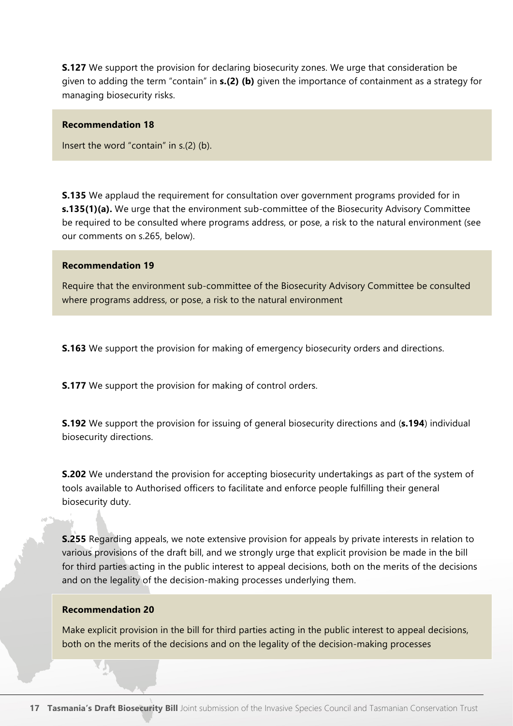**S.127** We support the provision for declaring biosecurity zones. We urge that consideration be given to adding the term "contain" in **s.(2) (b)** given the importance of containment as a strategy for managing biosecurity risks.

#### **Recommendation 18**

Insert the word "contain" in s.(2) (b).

**S.135** We applaud the requirement for consultation over government programs provided for in **s.135(1)(a).** We urge that the environment sub-committee of the Biosecurity Advisory Committee be required to be consulted where programs address, or pose, a risk to the natural environment (see our comments on s.265, below).

#### **Recommendation 19**

Require that the environment sub-committee of the Biosecurity Advisory Committee be consulted where programs address, or pose, a risk to the natural environment

**S.163** We support the provision for making of emergency biosecurity orders and directions.

**S.177** We support the provision for making of control orders.

**S.192** We support the provision for issuing of general biosecurity directions and (**s.194**) individual biosecurity directions.

**S.202** We understand the provision for accepting biosecurity undertakings as part of the system of tools available to Authorised officers to facilitate and enforce people fulfilling their general biosecurity duty.

**S.255** Regarding appeals, we note extensive provision for appeals by private interests in relation to various provisions of the draft bill, and we strongly urge that explicit provision be made in the bill for third parties acting in the public interest to appeal decisions, both on the merits of the decisions and on the legality of the decision-making processes underlying them.

#### **Recommendation 20**

Make explicit provision in the bill for third parties acting in the public interest to appeal decisions, both on the merits of the decisions and on the legality of the decision-making processes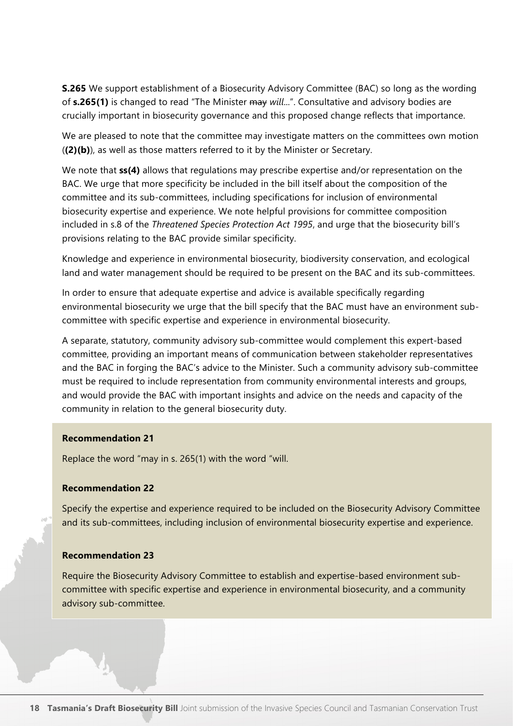**S.265** We support establishment of a Biosecurity Advisory Committee (BAC) so long as the wording of **s.265(1)** is changed to read "The Minister may *will*...". Consultative and advisory bodies are crucially important in biosecurity governance and this proposed change reflects that importance.

We are pleased to note that the committee may investigate matters on the committees own motion (**(2)(b)**), as well as those matters referred to it by the Minister or Secretary.

We note that **ss(4)** allows that regulations may prescribe expertise and/or representation on the BAC. We urge that more specificity be included in the bill itself about the composition of the committee and its sub-committees, including specifications for inclusion of environmental biosecurity expertise and experience. We note helpful provisions for committee composition included in s.8 of the *Threatened Species Protection Act 1995*, and urge that the biosecurity bill's provisions relating to the BAC provide similar specificity.

Knowledge and experience in environmental biosecurity, biodiversity conservation, and ecological land and water management should be required to be present on the BAC and its sub-committees.

In order to ensure that adequate expertise and advice is available specifically regarding environmental biosecurity we urge that the bill specify that the BAC must have an environment subcommittee with specific expertise and experience in environmental biosecurity.

A separate, statutory, community advisory sub-committee would complement this expert-based committee, providing an important means of communication between stakeholder representatives and the BAC in forging the BAC's advice to the Minister. Such a community advisory sub-committee must be required to include representation from community environmental interests and groups, and would provide the BAC with important insights and advice on the needs and capacity of the community in relation to the general biosecurity duty.

#### **Recommendation 21**

Replace the word "may in s. 265(1) with the word "will.

#### **Recommendation 22**

Specify the expertise and experience required to be included on the Biosecurity Advisory Committee and its sub-committees, including inclusion of environmental biosecurity expertise and experience.

#### **Recommendation 23**

Require the Biosecurity Advisory Committee to establish and expertise-based environment subcommittee with specific expertise and experience in environmental biosecurity, and a community advisory sub-committee.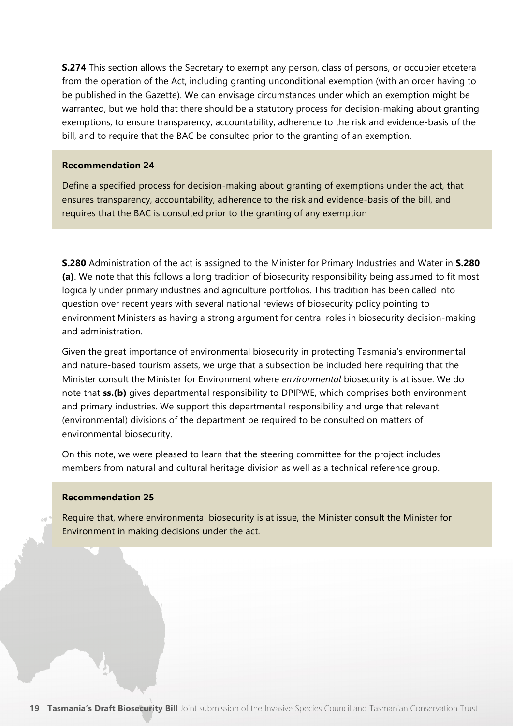**S.274** This section allows the Secretary to exempt any person, class of persons, or occupier etcetera from the operation of the Act, including granting unconditional exemption (with an order having to be published in the Gazette). We can envisage circumstances under which an exemption might be warranted, but we hold that there should be a statutory process for decision-making about granting exemptions, to ensure transparency, accountability, adherence to the risk and evidence-basis of the bill, and to require that the BAC be consulted prior to the granting of an exemption.

#### **Recommendation 24**

Define a specified process for decision-making about granting of exemptions under the act, that ensures transparency, accountability, adherence to the risk and evidence-basis of the bill, and requires that the BAC is consulted prior to the granting of any exemption

**S.280** Administration of the act is assigned to the Minister for Primary Industries and Water in **S.280 (a)**. We note that this follows a long tradition of biosecurity responsibility being assumed to fit most logically under primary industries and agriculture portfolios. This tradition has been called into question over recent years with several national reviews of biosecurity policy pointing to environment Ministers as having a strong argument for central roles in biosecurity decision-making and administration.

Given the great importance of environmental biosecurity in protecting Tasmania's environmental and nature-based tourism assets, we urge that a subsection be included here requiring that the Minister consult the Minister for Environment where *environmental* biosecurity is at issue. We do note that **ss.(b)** gives departmental responsibility to DPIPWE, which comprises both environment and primary industries. We support this departmental responsibility and urge that relevant (environmental) divisions of the department be required to be consulted on matters of environmental biosecurity.

On this note, we were pleased to learn that the steering committee for the project includes members from natural and cultural heritage division as well as a technical reference group.

#### **Recommendation 25**

Require that, where environmental biosecurity is at issue, the Minister consult the Minister for Environment in making decisions under the act.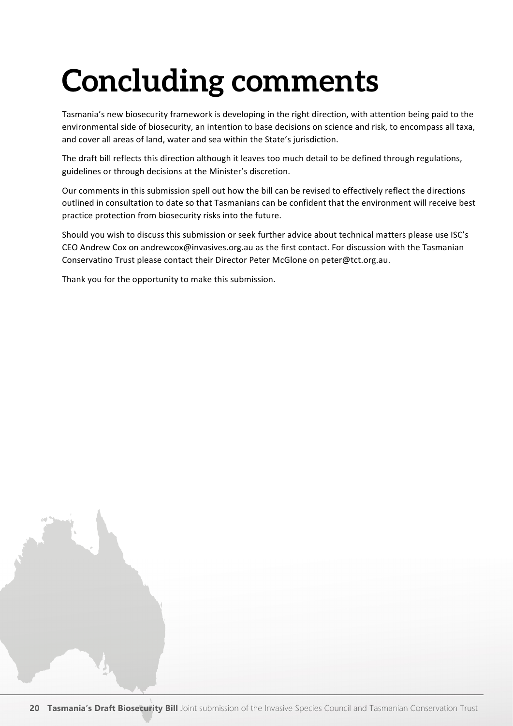## **Concluding comments**

Tasmania's new biosecurity framework is developing in the right direction, with attention being paid to the environmental side of biosecurity, an intention to base decisions on science and risk, to encompass all taxa, and cover all areas of land, water and sea within the State's jurisdiction.

The draft bill reflects this direction although it leaves too much detail to be defined through regulations, guidelines or through decisions at the Minister's discretion.

Our comments in this submission spell out how the bill can be revised to effectively reflect the directions outlined in consultation to date so that Tasmanians can be confident that the environment will receive best practice protection from biosecurity risks into the future.

Should you wish to discuss this submission or seek further advice about technical matters please use ISC's CEO Andrew Cox on andrewcox@invasives.org.au as the first contact. For discussion with the Tasmanian Conservatino Trust please contact their Director Peter McGlone on peter@tct.org.au.

Thank you for the opportunity to make this submission.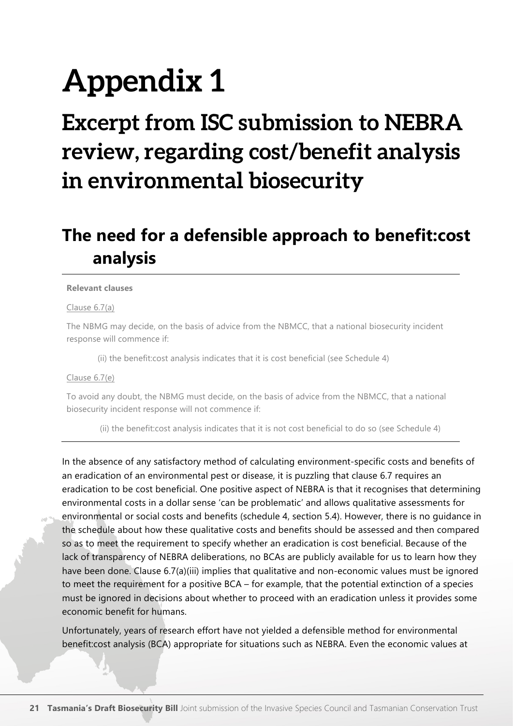## **Appendix 1**

### **Excerpt from ISC submission to NEBRA review, regarding cost/benefit analysis in environmental biosecurity**

### **The need for a defensible approach to benefit:cost analysis**

#### **Relevant clauses**

#### Clause 6.7(a)

The NBMG may decide, on the basis of advice from the NBMCC, that a national biosecurity incident response will commence if:

(ii) the benefit:cost analysis indicates that it is cost beneficial (see Schedule 4)

#### Clause 6.7(e)

To avoid any doubt, the NBMG must decide, on the basis of advice from the NBMCC, that a national biosecurity incident response will not commence if:

(ii) the benefit:cost analysis indicates that it is not cost beneficial to do so (see Schedule 4)

In the absence of any satisfactory method of calculating environment-specific costs and benefits of an eradication of an environmental pest or disease, it is puzzling that clause 6.7 requires an eradication to be cost beneficial. One positive aspect of NEBRA is that it recognises that determining environmental costs in a dollar sense 'can be problematic' and allows qualitative assessments for environmental or social costs and benefits (schedule 4, section 5.4). However, there is no guidance in the schedule about how these qualitative costs and benefits should be assessed and then compared so as to meet the requirement to specify whether an eradication is cost beneficial. Because of the lack of transparency of NEBRA deliberations, no BCAs are publicly available for us to learn how they have been done. Clause 6.7(a)(iii) implies that qualitative and non-economic values must be ignored to meet the requirement for a positive BCA – for example, that the potential extinction of a species must be ignored in decisions about whether to proceed with an eradication unless it provides some economic benefit for humans.

Unfortunately, years of research effort have not yielded a defensible method for environmental benefit:cost analysis (BCA) appropriate for situations such as NEBRA. Even the economic values at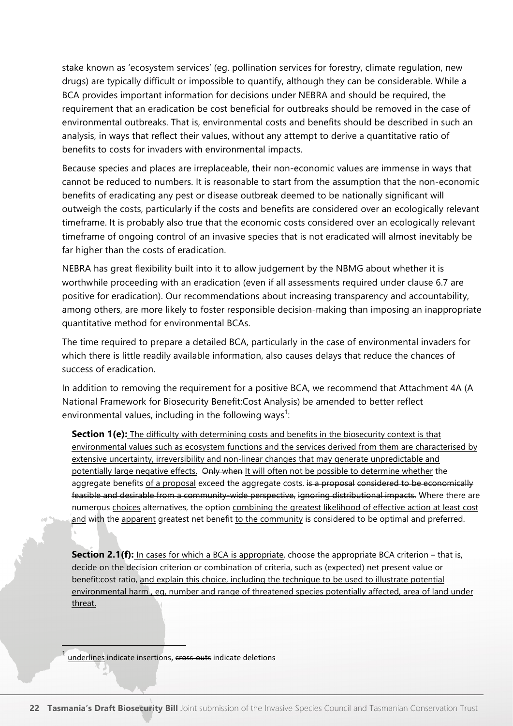stake known as 'ecosystem services' (eg. pollination services for forestry, climate regulation, new drugs) are typically difficult or impossible to quantify, although they can be considerable. While a BCA provides important information for decisions under NEBRA and should be required, the requirement that an eradication be cost beneficial for outbreaks should be removed in the case of environmental outbreaks. That is, environmental costs and benefits should be described in such an analysis, in ways that reflect their values, without any attempt to derive a quantitative ratio of benefits to costs for invaders with environmental impacts.

Because species and places are irreplaceable, their non-economic values are immense in ways that cannot be reduced to numbers. It is reasonable to start from the assumption that the non-economic benefits of eradicating any pest or disease outbreak deemed to be nationally significant will outweigh the costs, particularly if the costs and benefits are considered over an ecologically relevant timeframe. It is probably also true that the economic costs considered over an ecologically relevant timeframe of ongoing control of an invasive species that is not eradicated will almost inevitably be far higher than the costs of eradication.

NEBRA has great flexibility built into it to allow judgement by the NBMG about whether it is worthwhile proceeding with an eradication (even if all assessments required under clause 6.7 are positive for eradication). Our recommendations about increasing transparency and accountability, among others, are more likely to foster responsible decision-making than imposing an inappropriate quantitative method for environmental BCAs.

The time required to prepare a detailed BCA, particularly in the case of environmental invaders for which there is little readily available information, also causes delays that reduce the chances of success of eradication.

In addition to removing the requirement for a positive BCA, we recommend that Attachment 4A (A National Framework for Biosecurity Benefit:Cost Analysis) be amended to better reflect environmental values, including in the following ways<sup>1</sup>:

**Section 1(e):** The difficulty with determining costs and benefits in the biosecurity context is that environmental values such as ecosystem functions and the services derived from them are characterised by extensive uncertainty, irreversibility and non-linear changes that may generate unpredictable and potentially large negative effects. Only when It will often not be possible to determine whether the aggregate benefits of a proposal exceed the aggregate costs. is a proposal considered to be economically feasible and desirable from a community-wide perspective, ignoring distributional impacts. Where there are numerous choices alternatives, the option combining the greatest likelihood of effective action at least cost and with the apparent greatest net benefit to the community is considered to be optimal and preferred.

**Section 2.1(f):** In cases for which a BCA is appropriate, choose the appropriate BCA criterion – that is, decide on the decision criterion or combination of criteria, such as (expected) net present value or benefit:cost ratio, and explain this choice, including the technique to be used to illustrate potential environmental harm , eg, number and range of threatened species potentially affected, area of land under threat.

underlines indicate insertions, cross-outs indicate deletions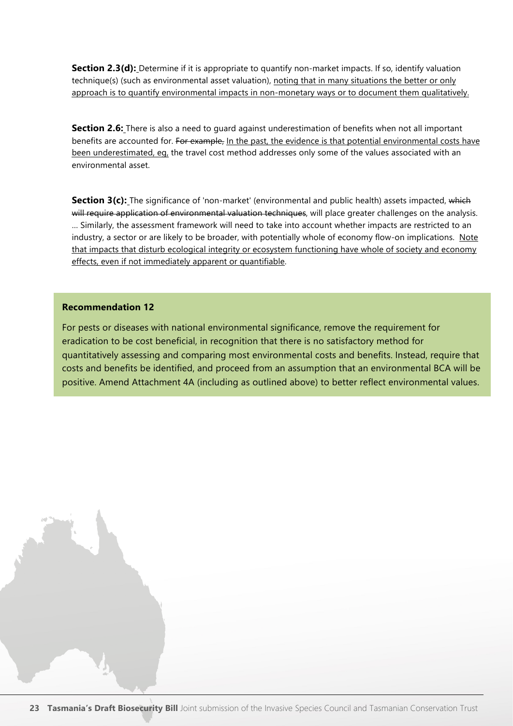**Section 2.3(d):** Determine if it is appropriate to quantify non-market impacts. If so, identify valuation technique(s) (such as environmental asset valuation), noting that in many situations the better or only approach is to quantify environmental impacts in non-monetary ways or to document them qualitatively.

**Section 2.6:** There is also a need to quard against underestimation of benefits when not all important benefits are accounted for. For example, In the past, the evidence is that potential environmental costs have been underestimated, eg, the travel cost method addresses only some of the values associated with an environmental asset.

**Section 3(c):** The significance of 'non-market' (environmental and public health) assets impacted, which will require application of environmental valuation techniques, will place greater challenges on the analysis. … Similarly, the assessment framework will need to take into account whether impacts are restricted to an industry, a sector or are likely to be broader, with potentially whole of economy flow-on implications. Note that impacts that disturb ecological integrity or ecosystem functioning have whole of society and economy effects, even if not immediately apparent or quantifiable.

#### **Recommendation 12**

For pests or diseases with national environmental significance, remove the requirement for eradication to be cost beneficial, in recognition that there is no satisfactory method for quantitatively assessing and comparing most environmental costs and benefits. Instead, require that costs and benefits be identified, and proceed from an assumption that an environmental BCA will be positive. Amend Attachment 4A (including as outlined above) to better reflect environmental values.